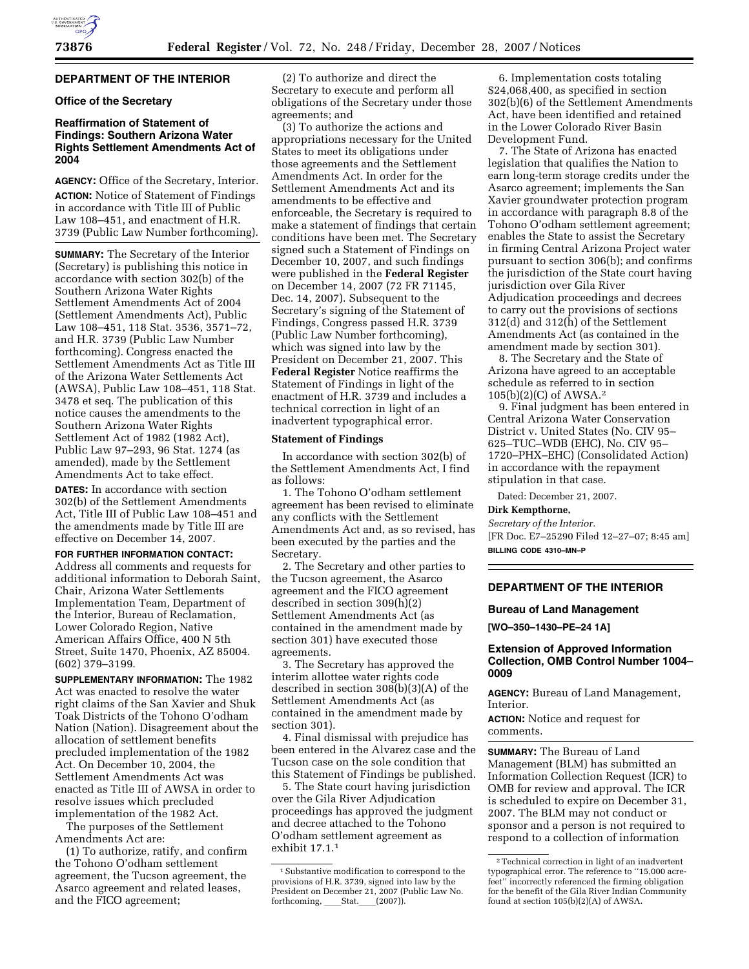# **DEPARTMENT OF THE INTERIOR**

## **Office of the Secretary**

## **Reaffirmation of Statement of Findings: Southern Arizona Water Rights Settlement Amendments Act of 2004**

**AGENCY:** Office of the Secretary, Interior. **ACTION:** Notice of Statement of Findings in accordance with Title III of Public Law 108–451, and enactment of H.R. 3739 (Public Law Number forthcoming).

**SUMMARY:** The Secretary of the Interior (Secretary) is publishing this notice in accordance with section 302(b) of the Southern Arizona Water Rights Settlement Amendments Act of 2004 (Settlement Amendments Act), Public Law 108–451, 118 Stat. 3536, 3571–72, and H.R. 3739 (Public Law Number forthcoming). Congress enacted the Settlement Amendments Act as Title III of the Arizona Water Settlements Act (AWSA), Public Law 108–451, 118 Stat. 3478 et seq. The publication of this notice causes the amendments to the Southern Arizona Water Rights Settlement Act of 1982 (1982 Act), Public Law 97–293, 96 Stat. 1274 (as amended), made by the Settlement Amendments Act to take effect.

**DATES:** In accordance with section 302(b) of the Settlement Amendments Act, Title III of Public Law 108–451 and the amendments made by Title III are effective on December 14, 2007.

### **FOR FURTHER INFORMATION CONTACT:**

Address all comments and requests for additional information to Deborah Saint, Chair, Arizona Water Settlements Implementation Team, Department of the Interior, Bureau of Reclamation, Lower Colorado Region, Native American Affairs Office, 400 N 5th Street, Suite 1470, Phoenix, AZ 85004. (602) 379–3199.

**SUPPLEMENTARY INFORMATION:** The 1982 Act was enacted to resolve the water right claims of the San Xavier and Shuk Toak Districts of the Tohono O'odham Nation (Nation). Disagreement about the allocation of settlement benefits precluded implementation of the 1982 Act. On December 10, 2004, the Settlement Amendments Act was enacted as Title III of AWSA in order to resolve issues which precluded implementation of the 1982 Act.

The purposes of the Settlement Amendments Act are:

(1) To authorize, ratify, and confirm the Tohono O'odham settlement agreement, the Tucson agreement, the Asarco agreement and related leases, and the FICO agreement;

(2) To authorize and direct the Secretary to execute and perform all obligations of the Secretary under those agreements; and

(3) To authorize the actions and appropriations necessary for the United States to meet its obligations under those agreements and the Settlement Amendments Act. In order for the Settlement Amendments Act and its amendments to be effective and enforceable, the Secretary is required to make a statement of findings that certain conditions have been met. The Secretary signed such a Statement of Findings on December 10, 2007, and such findings were published in the **Federal Register**  on December 14, 2007 (72 FR 71145, Dec. 14, 2007). Subsequent to the Secretary's signing of the Statement of Findings, Congress passed H.R. 3739 (Public Law Number forthcoming), which was signed into law by the President on December 21, 2007. This **Federal Register** Notice reaffirms the Statement of Findings in light of the enactment of H.R. 3739 and includes a technical correction in light of an inadvertent typographical error.

#### **Statement of Findings**

In accordance with section 302(b) of the Settlement Amendments Act, I find as follows:

1. The Tohono O'odham settlement agreement has been revised to eliminate any conflicts with the Settlement Amendments Act and, as so revised, has been executed by the parties and the Secretary.

2. The Secretary and other parties to the Tucson agreement, the Asarco agreement and the FICO agreement described in section 309(h)(2) Settlement Amendments Act (as contained in the amendment made by section 301) have executed those agreements.

3. The Secretary has approved the interim allottee water rights code described in section 308(b)(3)(A) of the Settlement Amendments Act (as contained in the amendment made by section 301).

4. Final dismissal with prejudice has been entered in the Alvarez case and the Tucson case on the sole condition that this Statement of Findings be published.

5. The State court having jurisdiction over the Gila River Adjudication proceedings has approved the judgment and decree attached to the Tohono O'odham settlement agreement as exhibit 17.1.1

6. Implementation costs totaling \$24,068,400, as specified in section 302(b)(6) of the Settlement Amendments Act, have been identified and retained in the Lower Colorado River Basin Development Fund.

7. The State of Arizona has enacted legislation that qualifies the Nation to earn long-term storage credits under the Asarco agreement; implements the San Xavier groundwater protection program in accordance with paragraph 8.8 of the Tohono O'odham settlement agreement; enables the State to assist the Secretary in firming Central Arizona Project water pursuant to section 306(b); and confirms the jurisdiction of the State court having jurisdiction over Gila River Adjudication proceedings and decrees to carry out the provisions of sections 312(d) and 312(h) of the Settlement Amendments Act (as contained in the amendment made by section 301).

8. The Secretary and the State of Arizona have agreed to an acceptable schedule as referred to in section 105(b)(2)(C) of AWSA.2

9. Final judgment has been entered in Central Arizona Water Conservation District v. United States (No. CIV 95– 625–TUC–WDB (EHC), No. CIV 95– 1720–PHX–EHC) (Consolidated Action) in accordance with the repayment stipulation in that case.

Dated: December 21, 2007.

## **Dirk Kempthorne,**

*Secretary of the Interior.*  [FR Doc. E7–25290 Filed 12–27–07; 8:45 am] **BILLING CODE 4310–MN–P** 

### **DEPARTMENT OF THE INTERIOR**

#### **Bureau of Land Management**

**[WO–350–1430–PE–24 1A]** 

## **Extension of Approved Information Collection, OMB Control Number 1004– 0009**

**AGENCY:** Bureau of Land Management, Interior.

**ACTION:** Notice and request for comments.

**SUMMARY:** The Bureau of Land Management (BLM) has submitted an Information Collection Request (ICR) to OMB for review and approval. The ICR is scheduled to expire on December 31, 2007. The BLM may not conduct or sponsor and a person is not required to respond to a collection of information

<sup>1</sup>Substantive modification to correspond to the provisions of H.R. 3739, signed into law by the President on December 21, 2007 (Public Law No. forthcoming, Stat. (2007)).

<sup>2</sup>Technical correction in light of an inadvertent typographical error. The reference to ''15,000 acrefeet'' incorrectly referenced the firming obligation for the benefit of the Gila River Indian Community found at section 105(b)(2)(A) of AWSA.